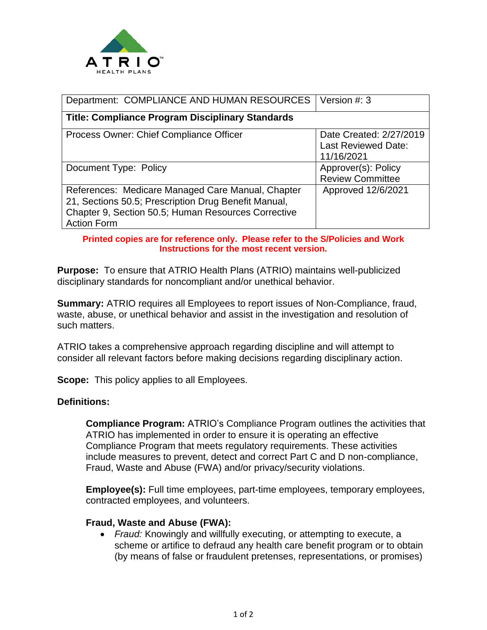

| Department: COMPLIANCE AND HUMAN RESOURCES                                                                                                                                             | Version #: 3                                                 |
|----------------------------------------------------------------------------------------------------------------------------------------------------------------------------------------|--------------------------------------------------------------|
| <b>Title: Compliance Program Disciplinary Standards</b>                                                                                                                                |                                                              |
| Process Owner: Chief Compliance Officer                                                                                                                                                | Date Created: 2/27/2019<br>Last Reviewed Date:<br>11/16/2021 |
| Document Type: Policy                                                                                                                                                                  | Approver(s): Policy<br><b>Review Committee</b>               |
| References: Medicare Managed Care Manual, Chapter<br>21, Sections 50.5; Prescription Drug Benefit Manual,<br>Chapter 9, Section 50.5; Human Resources Corrective<br><b>Action Form</b> | Approved 12/6/2021                                           |

#### **Printed copies are for reference only. Please refer to the S/Policies and Work Instructions for the most recent version.**

**Purpose:** To ensure that ATRIO Health Plans (ATRIO) maintains well-publicized disciplinary standards for noncompliant and/or unethical behavior.

**Summary:** ATRIO requires all Employees to report issues of Non-Compliance, fraud, waste, abuse, or unethical behavior and assist in the investigation and resolution of such matters.

ATRIO takes a comprehensive approach regarding discipline and will attempt to consider all relevant factors before making decisions regarding disciplinary action.

**Scope:** This policy applies to all Employees.

### **Definitions:**

**Compliance Program:** ATRIO's Compliance Program outlines the activities that ATRIO has implemented in order to ensure it is operating an effective Compliance Program that meets regulatory requirements. These activities include measures to prevent, detect and correct Part C and D non-compliance, Fraud, Waste and Abuse (FWA) and/or privacy/security violations.

**Employee(s):** Full time employees, part-time employees, temporary employees, contracted employees, and volunteers.

#### **Fraud, Waste and Abuse (FWA):**

• *Fraud:* Knowingly and willfully executing, or attempting to execute, a scheme or artifice to defraud any health care benefit program or to obtain (by means of false or fraudulent pretenses, representations, or promises)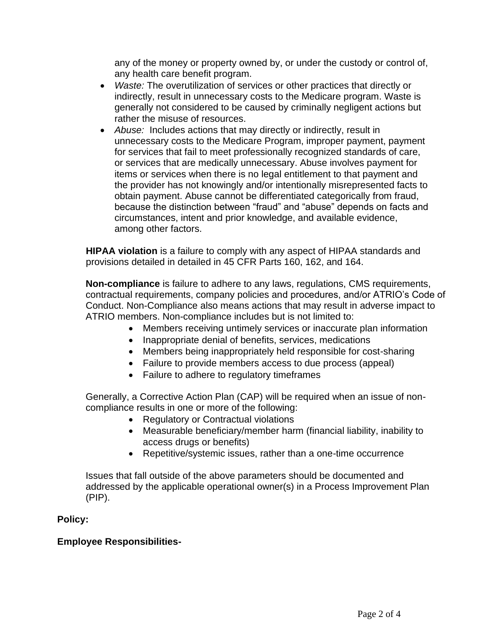any of the money or property owned by, or under the custody or control of, any health care benefit program.

- *Waste:* The overutilization of services or other practices that directly or indirectly, result in unnecessary costs to the Medicare program. Waste is generally not considered to be caused by criminally negligent actions but rather the misuse of resources.
- *Abuse:* Includes actions that may directly or indirectly, result in unnecessary costs to the Medicare Program, improper payment, payment for services that fail to meet professionally recognized standards of care, or services that are medically unnecessary. Abuse involves payment for items or services when there is no legal entitlement to that payment and the provider has not knowingly and/or intentionally misrepresented facts to obtain payment. Abuse cannot be differentiated categorically from fraud, because the distinction between "fraud" and "abuse" depends on facts and circumstances, intent and prior knowledge, and available evidence, among other factors.

**HIPAA violation** is a failure to comply with any aspect of HIPAA standards and provisions detailed in detailed in 45 CFR Parts 160, 162, and 164.

**Non-compliance** is failure to adhere to any laws, regulations, CMS requirements, contractual requirements, company policies and procedures, and/or ATRIO's Code of Conduct. Non-Compliance also means actions that may result in adverse impact to ATRIO members. Non-compliance includes but is not limited to:

- Members receiving untimely services or inaccurate plan information
- Inappropriate denial of benefits, services, medications
- Members being inappropriately held responsible for cost-sharing
- Failure to provide members access to due process (appeal)
- Failure to adhere to regulatory timeframes

Generally, a Corrective Action Plan (CAP) will be required when an issue of noncompliance results in one or more of the following:

- Regulatory or Contractual violations
- Measurable beneficiary/member harm (financial liability, inability to access drugs or benefits)
- Repetitive/systemic issues, rather than a one-time occurrence

Issues that fall outside of the above parameters should be documented and addressed by the applicable operational owner(s) in a Process Improvement Plan (PIP).

### **Policy:**

# **Employee Responsibilities-**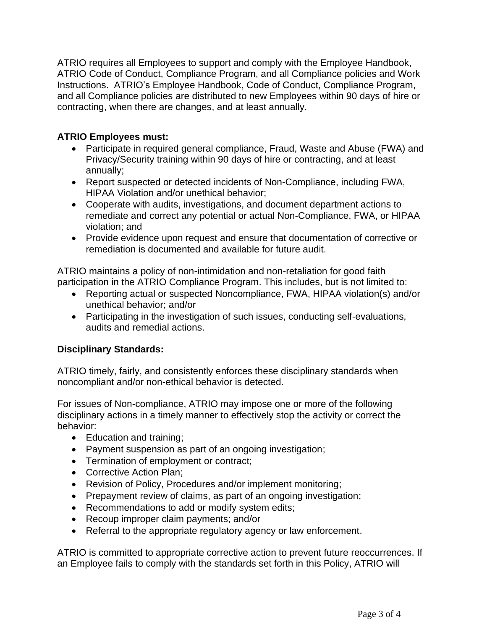ATRIO requires all Employees to support and comply with the Employee Handbook, ATRIO Code of Conduct, Compliance Program, and all Compliance policies and Work Instructions. ATRIO's Employee Handbook, Code of Conduct, Compliance Program, and all Compliance policies are distributed to new Employees within 90 days of hire or contracting, when there are changes, and at least annually.

## **ATRIO Employees must:**

- Participate in required general compliance, Fraud, Waste and Abuse (FWA) and Privacy/Security training within 90 days of hire or contracting, and at least annually;
- Report suspected or detected incidents of Non-Compliance, including FWA, HIPAA Violation and/or unethical behavior;
- Cooperate with audits, investigations, and document department actions to remediate and correct any potential or actual Non-Compliance, FWA, or HIPAA violation; and
- Provide evidence upon request and ensure that documentation of corrective or remediation is documented and available for future audit.

ATRIO maintains a policy of non-intimidation and non-retaliation for good faith participation in the ATRIO Compliance Program. This includes, but is not limited to:

- Reporting actual or suspected Noncompliance, FWA, HIPAA violation(s) and/or unethical behavior; and/or
- Participating in the investigation of such issues, conducting self-evaluations, audits and remedial actions.

# **Disciplinary Standards:**

ATRIO timely, fairly, and consistently enforces these disciplinary standards when noncompliant and/or non-ethical behavior is detected.

For issues of Non-compliance, ATRIO may impose one or more of the following disciplinary actions in a timely manner to effectively stop the activity or correct the behavior:

- Education and training;
- Payment suspension as part of an ongoing investigation;
- Termination of employment or contract;
- Corrective Action Plan;
- Revision of Policy, Procedures and/or implement monitoring;
- Prepayment review of claims, as part of an ongoing investigation;
- Recommendations to add or modify system edits;
- Recoup improper claim payments; and/or
- Referral to the appropriate regulatory agency or law enforcement.

ATRIO is committed to appropriate corrective action to prevent future reoccurrences. If an Employee fails to comply with the standards set forth in this Policy, ATRIO will